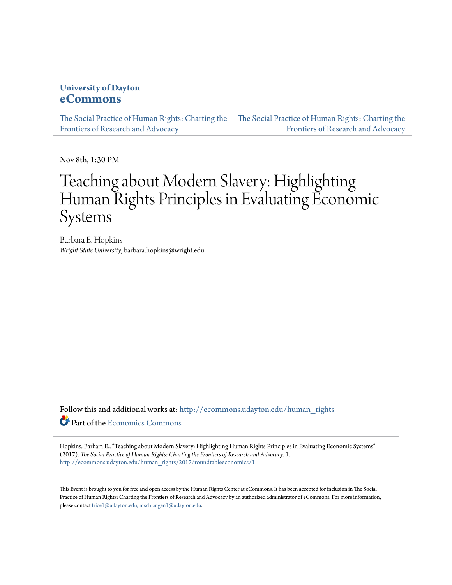### **University of Dayton [eCommons](http://ecommons.udayton.edu?utm_source=ecommons.udayton.edu%2Fhuman_rights%2F2017%2Froundtableeconomics%2F1&utm_medium=PDF&utm_campaign=PDFCoverPages)**

[The Social Practice of Human Rights: Charting the](http://ecommons.udayton.edu/human_rights?utm_source=ecommons.udayton.edu%2Fhuman_rights%2F2017%2Froundtableeconomics%2F1&utm_medium=PDF&utm_campaign=PDFCoverPages) [The Social Practice of Human Rights: Charting the](http://ecommons.udayton.edu/human_rights/2017?utm_source=ecommons.udayton.edu%2Fhuman_rights%2F2017%2Froundtableeconomics%2F1&utm_medium=PDF&utm_campaign=PDFCoverPages) [Frontiers of Research and Advocacy](http://ecommons.udayton.edu/human_rights?utm_source=ecommons.udayton.edu%2Fhuman_rights%2F2017%2Froundtableeconomics%2F1&utm_medium=PDF&utm_campaign=PDFCoverPages) [Frontiers of Research and Advocacy](http://ecommons.udayton.edu/human_rights/2017?utm_source=ecommons.udayton.edu%2Fhuman_rights%2F2017%2Froundtableeconomics%2F1&utm_medium=PDF&utm_campaign=PDFCoverPages)

Nov 8th, 1:30 PM

# Teaching about Modern Slavery: Highlighting Human Rights Principles in Evaluating Economic Systems

Barbara E. Hopkins *Wright State University*, barbara.hopkins@wright.edu

Follow this and additional works at: [http://ecommons.udayton.edu/human\\_rights](http://ecommons.udayton.edu/human_rights?utm_source=ecommons.udayton.edu%2Fhuman_rights%2F2017%2Froundtableeconomics%2F1&utm_medium=PDF&utm_campaign=PDFCoverPages) Part of the [Economics Commons](http://network.bepress.com/hgg/discipline/340?utm_source=ecommons.udayton.edu%2Fhuman_rights%2F2017%2Froundtableeconomics%2F1&utm_medium=PDF&utm_campaign=PDFCoverPages)

Hopkins, Barbara E., "Teaching about Modern Slavery: Highlighting Human Rights Principles in Evaluating Economic Systems" (2017). *The Social Practice of Human Rights: Charting the Frontiers of Research and Advocacy*. 1. [http://ecommons.udayton.edu/human\\_rights/2017/roundtableeconomics/1](http://ecommons.udayton.edu/human_rights/2017/roundtableeconomics/1?utm_source=ecommons.udayton.edu%2Fhuman_rights%2F2017%2Froundtableeconomics%2F1&utm_medium=PDF&utm_campaign=PDFCoverPages)

This Event is brought to you for free and open access by the Human Rights Center at eCommons. It has been accepted for inclusion in The Social Practice of Human Rights: Charting the Frontiers of Research and Advocacy by an authorized administrator of eCommons. For more information, please contact [frice1@udayton.edu, mschlangen1@udayton.edu.](mailto:frice1@udayton.edu,%20mschlangen1@udayton.edu)